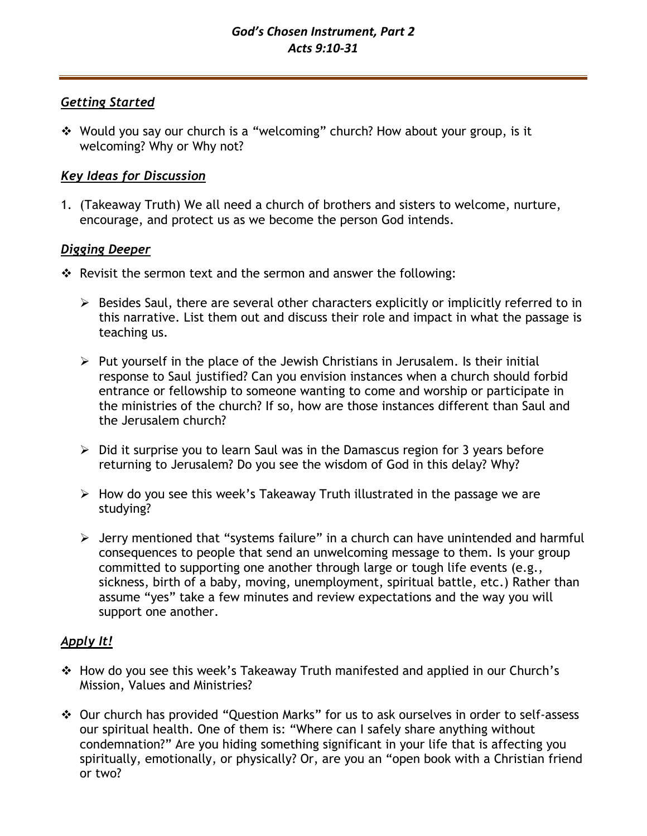# *Getting Started*

❖ Would you say our church is a "welcoming" church? How about your group, is it welcoming? Why or Why not?

# *Key Ideas for Discussion*

1. (Takeaway Truth) We all need a church of brothers and sisters to welcome, nurture, encourage, and protect us as we become the person God intends.

## *Digging Deeper*

- ❖ Revisit the sermon text and the sermon and answer the following:
	- ➢ Besides Saul, there are several other characters explicitly or implicitly referred to in this narrative. List them out and discuss their role and impact in what the passage is teaching us.
	- $\triangleright$  Put yourself in the place of the Jewish Christians in Jerusalem. Is their initial response to Saul justified? Can you envision instances when a church should forbid entrance or fellowship to someone wanting to come and worship or participate in the ministries of the church? If so, how are those instances different than Saul and the Jerusalem church?
	- $\triangleright$  Did it surprise you to learn Saul was in the Damascus region for 3 years before returning to Jerusalem? Do you see the wisdom of God in this delay? Why?
	- $\triangleright$  How do you see this week's Takeaway Truth illustrated in the passage we are studying?
	- ➢ Jerry mentioned that "systems failure" in a church can have unintended and harmful consequences to people that send an unwelcoming message to them. Is your group committed to supporting one another through large or tough life events (e.g., sickness, birth of a baby, moving, unemployment, spiritual battle, etc.) Rather than assume "yes" take a few minutes and review expectations and the way you will support one another.

# *Apply It!*

- ❖ How do you see this week's Takeaway Truth manifested and applied in our Church's Mission, Values and Ministries?
- ❖ Our church has provided "Question Marks" for us to ask ourselves in order to self-assess our spiritual health. One of them is: "Where can I safely share anything without condemnation?" Are you hiding something significant in your life that is affecting you spiritually, emotionally, or physically? Or, are you an "open book with a Christian friend or two?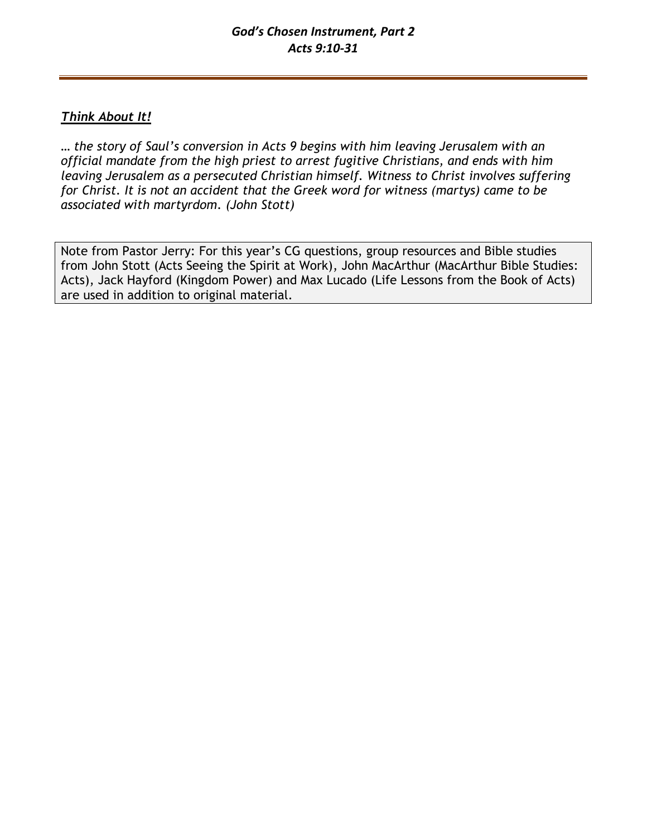# *Think About It!*

*… the story of Saul's conversion in Acts 9 begins with him leaving Jerusalem with an official mandate from the high priest to arrest fugitive Christians, and ends with him leaving Jerusalem as a persecuted Christian himself. Witness to Christ involves suffering for Christ. It is not an accident that the Greek word for witness (martys) came to be associated with martyrdom. (John Stott)*

Note from Pastor Jerry: For this year's CG questions, group resources and Bible studies from John Stott (Acts Seeing the Spirit at Work), John MacArthur (MacArthur Bible Studies: Acts), Jack Hayford (Kingdom Power) and Max Lucado (Life Lessons from the Book of Acts) are used in addition to original material.